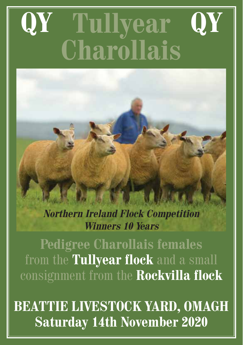# **Tullyear Charollais QY QY**

**Northern Ireland Flock Competition Winners 10 Years**

**Pedigree Charollais females** from the **Tullyear flock** and a small consignment from the **Rockvilla flock**

**BEATTIE LIVESTOCK YARD, OMAGH Saturday 14th November 2020**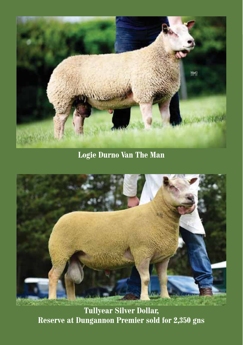

**Logie Durno Van The Man**



**Tullyear Silver Dollar, Reserve at Dungannon Premier sold for 2,350 gns**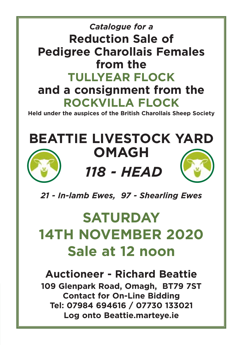# Catalogue for a *Catalogue for a* **Reduction Sale of Pedigree Charollais Females from the TULLYEAR FLOCK and a consignment from the ROCKVILLA FLOCK**

**Held under the auspices of the British Charollais Sheep Society**

# **BEATTIE LIVESTOCK YARD OMAGH**



**118 - HEAD** *118 - HEAD*



*21 - In-lamb Ewes, 97 - Shearling Ewes*

# **SATURDAY 14TH NOVEMBER 2020 Sale at 12 noon**

**Auctioneer - Richard Beattie 109 Glenpark Road, Omagh, BT79 7ST Contact for On-Line Bidding Tel: 07984 694616 / 07730 133021 Log onto Beattie.marteye.ie**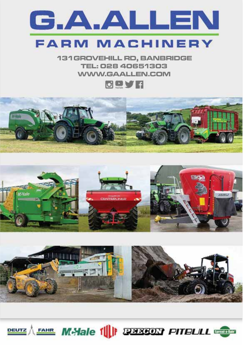

# **FARM MACHINERY**

**131GROVEHILL RD, BANBRIDGE** TEL: 028 40651303 **WWW.GAALLEN.COM** 









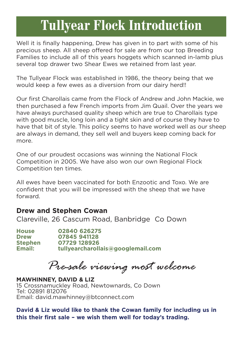# **Tullyear Flock Introduction**

Well it is finally happening, Drew has given in to part with some of his precious sheep. All sheep offered for sale are from our top Breeding Families to include all of this years hoggets which scanned in-lamb plus several top drawer two Shear Ewes we retained from last year.

The Tullyear Flock was established in 1986, the theory being that we would keep a few ewes as a diversion from our dairy herd!!

Our first Charollais came from the Flock of Andrew and John Mackie, we then purchased a few French imports from Jim Quail. Over the years we have always purchased quality sheep which are true to Charollais type with good muscle, long loin and a tight skin and of course they have to have that bit of style. This policy seems to have worked well as our sheep are always in demand, they sell well and buyers keep coming back for more.

One of our proudest occasions was winning the National Flock Competition in 2005. We have also won our own Regional Flock Competition ten times.

All ewes have been vaccinated for both Enzootic and Toxo. We are confident that you will be impressed with the sheep that we have forward.

# **Drew and Stephen Cowan**

Clareville, 26 Cascum Road, Banbridge Co Down

**House 02840 626275 Drew 07845 941128 Stephen 07729 128926 Email: tullyearcharollais@googlemail.com** 

*Pre-sale viewing most welcome*

**MAWHINNEY, DAVID & LIZ** 15 Crossnamuckley Road, Newtownards, Co Down Tel: 02891 812076 Email: david.mawhinney@btconnect.com

**David & Liz would like to thank the Cowan family for including us in this their first sale – we wish them well for today's trading.**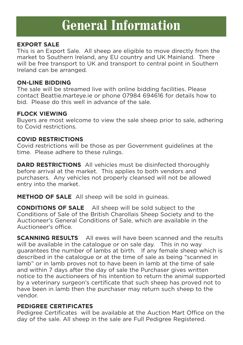# **General Information**

# **EXPORT SALE**

This is an Export Sale. All sheep are eligible to move directly from the market to Southern Ireland, any EU country and UK Mainland. There will be free transport to UK and transport to central point in Southern Ireland can be arranged.

# **ON-LINE BIDDING**

The sale will be streamed live with online bidding facilities. Please contact Beattie.marteye.ie or phone 07984 694616 for details how to bid. Please do this well in advance of the sale.

# **FLOCK VIEWING**

Buyers are most welcome to view the sale sheep prior to sale, adhering to Covid restrictions.

# **COVID RESTRICTIONS**

Covid restrictions will be those as per Government guidelines at the time. Please adhere to these rulings.

**DARD RESTRICTIONS** All vehicles must be disinfected thoroughly before arrival at the market. This applies to both vendors and purchasers. Any vehicles not properly cleansed will not be allowed entry into the market.

**METHOD OF SALE** All sheep will be sold in guineas.

**CONDITIONS OF SALE** All sheep will be sold subject to the Conditions of Sale of the British Charollais Sheep Society and to the Auctioneer's General Conditions of Sale, which are available in the Auctioneer's office.

**SCANNING RESULTS** All ewes will have been scanned and the results will be available in the catalogue or on sale day. This in no way guarantees the number of lambs at birth. If any female sheep which is described in the catalogue or at the time of sale as being "scanned in lamb" or in lamb proves not to have been in lamb at the time of sale and within 7 days after the day of sale the Purchaser gives written notice to the auctioneers of his intention to return the animal supported by a veterinary surgeon's certificate that such sheep has proved not to have been in lamb then the purchaser may return such sheep to the vendor.

# **PEDIGREE CERTIFICATES**

Pedigree Certificates will be available at the Auction Mart Office on the day of the sale. All sheep in the sale are Full Pedigree Registered.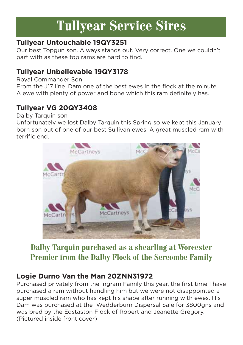# **Tullyear Service Sires**

# **Tullyear Untouchable 19QY3251**

Our best Topgun son. Always stands out. Very correct. One we couldn't part with as these top rams are hard to find.

# **Tullyear Unbelievable 19QY3178**

Royal Commander Son

From the J17 line. Dam one of the best ewes in the flock at the minute. A ewe with plenty of power and bone which this ram definitely has.

# **Tullyear VG 20QY3408**

Dalby Tarquin son

Unfortunately we lost Dalby Tarquin this Spring so we kept this January born son out of one of our best Sullivan ewes. A great muscled ram with terrific end.



# **Dalby Tarquin purchased as a shearling at Worcester Premier from the Dalby Flock of the Sercombe Family**

# **Logie Durno Van the Man 20ZNN31972**

Purchased privately from the Ingram Family this year, the first time I have purchased a ram without handling him but we were not disappointed a super muscled ram who has kept his shape after running with ewes. His Dam was purchased at the Wedderburn Dispersal Sale for 3800gns and was bred by the Edstaston Flock of Robert and Jeanette Gregory. (Pictured inside front cover)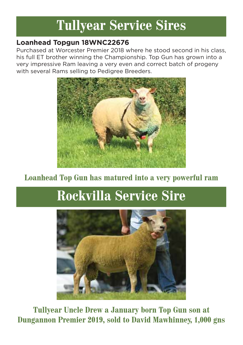# **Tullyear Service Sires**

# **Loanhead Topgun 18WNC22676**

Purchased at Worcester Premier 2018 where he stood second in his class, his full ET brother winning the Championship. Top Gun has grown into a very impressive Ram leaving a very even and correct batch of progeny with several Rams selling to Pedigree Breeders.



# **Loanhead Top Gun has matured into a very powerful ram**

# **Rockvilla Service Sire**



**Tullyear Uncle Drew a January born Top Gun son at Dungannon Premier 2019, sold to David Mawhinney, 1,000 gns**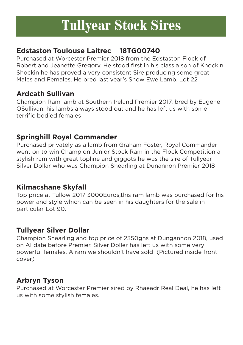# **Tullyear Stock Sires**

# **Edstaston Toulouse Laitrec 18TG00740**

Purchased at Worcester Premier 2018 from the Edstaston Flock of Robert and Jeanette Gregory. He stood first in his class,a son of Knockin Shockin he has proved a very consistent Sire producing some great Males and Females. He bred last year's Show Ewe Lamb, Lot 22

# **Ardcath Sullivan**

Champion Ram lamb at Southern Ireland Premier 2017, bred by Eugene OSullivan, his lambs always stood out and he has left us with some terrific bodied females

# **Springhill Royal Commander**

Purchased privately as a lamb from Graham Foster, Royal Commander went on to win Champion Junior Stock Ram in the Flock Competition a stylish ram with great topline and giggots he was the sire of Tullyear Silver Dollar who was Champion Shearling at Dunannon Premier 2018

# **Kilmacshane Skyfall**

Top price at Tullow 2017 3000Euros,this ram lamb was purchased for his power and style which can be seen in his daughters for the sale in particular Lot 90.

# **Tullyear Silver Dollar**

Champion Shearling and top price of 2350gns at Dungannon 2018, used on AI date before Premier. Silver Doller has left us with some very powerful females. A ram we shouldn't have sold (Pictured inside front cover)

# **Arbryn Tyson**

Purchased at Worcester Premier sired by Rhaeadr Real Deal, he has left us with some stylish females.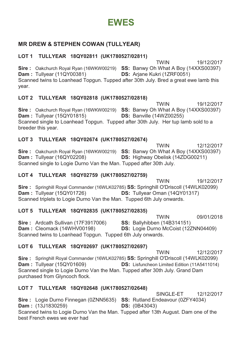# **EWES**

# **MR DREW & STEPHEN COWAN (TULLYEAR)**

# **LOT 1 TULLYEAR 18QY02811 (UK1780527/02811)**

TWIN 19/12/2017 **Sire :** Oakchurch Royal Ryan (16WKW00219) **SS:** Banwy Oh What A Boy (14XXS00397) **Dam :** Tullyear (11QY00381) **DS:** Arjane Kukri (1ZRF0051) Scanned twins to Loanhead Topgun. Tupped after 30th July. Bred a great ewe lamb this year.

# **LOT 2 TULLYEAR 18QY02818 (UK1780527/02818)**

 TWIN 19/12/2017 **Sire :** Oakchurch Royal Ryan (16WKW00219) **SS:** Banwy Oh What A Boy (14XXS00397) **Dam :** Tullyear (15QY01815) **DS:** Banville (14WZ00255) Scanned single to Loanhead Topgun. Tupped after 30th July. Her tup lamb sold to a breeder this year.

# **LOT 3 TULLYEAR 18QY02674 (UK1780527/02674)**

**TWIN** 12/12/2017 **Sire :** Oakchurch Royal Ryan (16WKW00219) **SS:** Banwy Oh What A Boy (14XXS00397) **Dam :** Tullyear (16QY02208) **DS:** Highway Obelisk (14ZDG00211) **DS:** Highway Obelisk (14ZDG00211) Scanned single to Logie Durno Van the Man. Tupped after 30th July.

# **LOT 4 TULLYEAR 18QY02759 (UK1780527/02759)**

**TWIN** 19/12/2017 **Sire :** Springhill Royal Commander (16WLK02785) **SS:** Springhill O'Driscoll (14WLK02099) **DS:** Tullyear Oman (14QY01317) Scanned triplets to Logie Durno Van the Man. Tupped 6th July onwards.

# **LOT 5 TULLYEAR 18QY02835 (UK1780527/02835)**

**TWIN** 09/01/2018 **Sire :** Ardcath Sullivan (17F3917006) **SS:** Ballyhibben (14B314151)<br>**Dam :** Cleomack (14WHV00198) **DS:** Logie Durno McCoist (122 **DS:** Logie Durno McCoist (12ZNN04409) Scanned twins to Loanhead Topgun. Tupped 6th July onwards.

# **LOT 6 TULLYEAR 18QY02697 (UK1780527/02697)**

**TWIN** 12/12/2017 **Sire :** Springhill Royal Commander (16WLK02785) **SS:** Springhill O'Driscoll (14WLK02099) **DS:** Lisfuncheon Limited Edition (11A5411014) Scanned single to Logie Durno Van the Man. Tupped after 30th July. Grand Dam purchased from Glyncoch flock.

# **LOT 7 TULLYEAR 18QY02648 (UK1780527/02648)**

**SINGLE-ET** 12/12/2017 **Sire :** Logie Durno Finnegan (0ZNN5635) **SS:** Rutland Endeavour (0ZFY4034) **DS:** (0B43043) **Dam:** (13J1830259) Scanned twins to Logie Durno Van the Man. Tupped after 13th August. Dam one of the best French ewes we ever had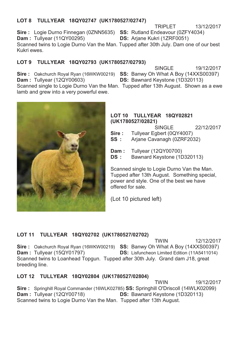# **LOT 8 TULLYEAR 18QY02747 (UK1780527/02747)**

**Sire :** Logie Durno Finnegan (0ZNN5635) **SS:** Rutland Endeavour (0ZFY4034) **Dam :** Tullyear (11QY00295) **DS:** Ariane Kukri (1ZRF0051) Scanned twins to Logie Durno Van the Man. Tupped after 30th July. Dam one of our best Kukri ewes.

# **LOT 9 TULLYEAR 18QY02793 (UK1780527/02793)**

**SINGLE** 19/12/2017 **Sire :** Oakchurch Royal Ryan (16WKW00219) **SS:** Banwy Oh What A Boy (14XXS00397) **Dam :** Tullyear (12QY00603) **DS:** Bawnard Keystone (1D320113) **DS:** Bawnard Keystone (1D320113)

TRIPLET 13/12/2017

Scanned single to Logie Durno Van the Man. Tupped after 13th August. Shown as a ewe lamb and grew into a very powerful ewe.



### **LOT 10 TULLYEAR 18QY02821 (UK1780527/02821)**

SINGLE 22/12/2017 **Sire :** Tullyear Egbert (0QY4007) **SS :** Arjane Cavanagh (0ZRF2032) **Dam :** Tullyear (12QY00700)

**DS :** Bawnard Keystone (1D320113)

Scanned single to Logie Durno Van the Man. Tupped after 13th August. Something special, power and style. One of the best we have offered for sale.

(Lot 10 pictured left)

# **LOT 11 TULLYEAR 18QY02702 (UK1780527/02702)**

TWIN 12/12/2017 **Sire :** Oakchurch Royal Ryan (16WKW00219) **SS:** Banwy Oh What A Boy (14XXS00397) **Dam :** Tullyear (15QY01797) **DS:** Lisfuncheon Limited Edition (11A5411014) Scanned twins to Loanhead Topgun. Tupped after 30th July. Grand dam J18, great breeding line.

# **LOT 12 TULLYEAR 18QY02804 (UK1780527/02804)**

**TWIN** 19/12/2017 **Sire :** Springhill Royal Commander (16WLK02785) **SS:** Springhill O'Driscoll (14WLK02099) **DS:** Bawnard Keystone (1D320113) Scanned twins to Logie Durno Van the Man. Tupped after 13th August.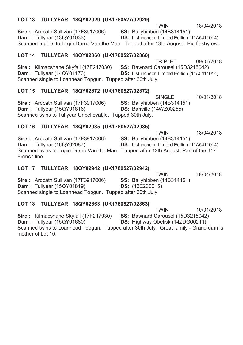# **LOT 13 TULLYEAR 18QY02929 (UK1780527/02929)**

 TWIN 18/04/2018 **Sire :** Ardcath Sullivan (17F3917006) **SS:** Ballyhibben (14B314151) **Dam :** Tullyear (13QY01033) **DS:** Lisfuncheon Limited Edition (11A5411014) Scanned triplets to Logie Durno Van the Man. Tupped after 13th August. Big flashy ewe.

# **LOT 14 TULLYEAR 18QY02860 (UK1780527/02860)**

 TRIPLET 09/01/2018 **Sire :** Kilmacshane Skyfall (17F217030) **SS:** Bawnard Carousel (15D3215042) **Dam :** Tullyear (14QY01173) **DS:** Lisfuncheon Limited Edition (11A5411014) Scanned single to Loanhead Topgun. Tupped after 30th July.

# **LOT 15 TULLYEAR 18QY02872 (UK1780527/02872)**

SINGLE 10/01/2018<br>
SS: Ballvhibben (14B314151) **Sire :** Ardcath Sullivan (17F3917006) **Dam :** Tullyear (15QY01816) **DS:** Banville (14WZ00255) Scanned twins to Tullyear Unbelievable. Tupped 30th July.

# **LOT 16 TULLYEAR 18QY02935 (UK1780527/02935)**

TWIN 18/04/2018<br>**SS:** Ballyhibben (14B314151) **Sire :** Ardcath Sullivan (17F3917006) **Dam :** Tullyear (16QY02087) **DS:** Lisfuncheon Limited Edition (11A5411014) Scanned twins to Logie Durno Van the Man. Tupped after 13th August. Part of the J17 French line

# **LOT 17 TULLYEAR 18QY02942 (UK1780527/02942)**

|                                                            | <b>TWIN</b>                        | 18/04/2018 |
|------------------------------------------------------------|------------------------------------|------------|
| <b>Sire:</b> Ardcath Sullivan (17F3917006)                 | <b>SS: Ballyhibben (14B314151)</b> |            |
| <b>Dam:</b> Tullyear (15QY01819)                           | <b>DS:</b> (13E230015)             |            |
| Scanned single to Loanhead Topgun. Tupped after 30th July. |                                    |            |

# **LOT 18 TULLYEAR 18QY02863 (UK1780527/02863)**

**TWIN** 10/01/2018 **Sire :** Kilmacshane Skyfall (17F217030) **SS:** Bawnard Carousel (15D3215042) **Dam :** Tullyear (15QY01680) **DS:** Highway Obelisk (14ZDG00211) Scanned twins to Loanhead Topgun. Tupped after 30th July. Great family - Grand dam is mother of Lot 10.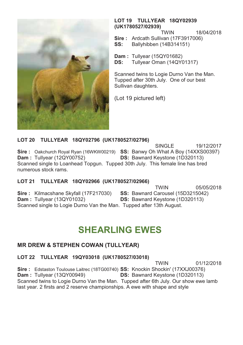

### **LOT 19 TULLYEAR 18QY02939 (UK1780527/02939)**

TWIN 18/04/2018

**Sire :** Ardcath Sullivan (17F3917006)

**SS:** Ballyhibben (14B314151)

**Dam :** Tullyear (15QY01682)<br>**DS:** Tullyear Oman (14QY) **DS:** Tullyear Oman (14QY01317)

Scanned twins to Logie Durno Van the Man. Tupped after 30th July. One of our best Sullivan daughters.

(Lot 19 pictured left)

**LOT 20 TULLYEAR 18QY02796 (UK1780527/02796)** 

 SINGLE 19/12/2017 **Sire :** Oakchurch Royal Ryan (16WKW00219) **SS:** Banwy Oh What A Boy (14XXS00397) **Dam :** Tullyear (12QY00752) **DS:** Bawnard Keystone (1D320113) **DS:** Bawnard Keystone (1D320113) Scanned single to Loanhead Topgun. Tupped 30th July. This female line has bred numerous stock rams.

# **LOT 21 TULLYEAR 18QY02966 (UK1780527/02966)**

**TWIN** 05/05/2018 **Sire :** Kilmacshane Skyfall (17F217030) **SS:** Bawnard Carousel (15D3215042) **Dam :** Tullyear (13QY01032) **DS:** Bawnard Keystone (1D320113) Scanned single to Logie Durno Van the Man. Tupped after 13th August.

# **SHEARLING EWES**

# **MR DREW & STEPHEN COWAN (TULLYEAR)**

# **LOT 22 TULLYEAR 19QY03018 (UK1780527/03018)**

TWIN 01/12/2018 **Sire :** Edstaston Toulouse Laitrec (18TG00740) **SS:** Knockin Shockin' (17XXJ00376) **Dam :** Tullyear (13QY00949) **DS:** Bawnard Keystone (1D320113) Scanned twins to Logie Durno Van the Man. Tupped after 6th July. Our show ewe lamb last year. 2 firsts and 2 reserve championships. A ewe with shape and style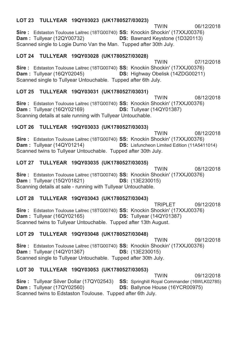# **LOT 23 TULLYEAR 19QY03023 (UK1780527/03023)**

**TWIN** 06/12/2018 **Sire :** Edstaston Toulouse Laitrec (18TG00740) **SS:** Knockin Shockin' (17XXJ00376) **Dam :** Tullyear (12QY00732) **DS:** Bawnard Keystone (1D320113) **DS:** Bawnard Keystone (1D320113) Scanned single to Logie Durno Van the Man. Tupped after 30th July.

# **LOT 24 TULLYEAR 19QY03028 (UK1780527/03028)**

**TWIN** 07/12/2018 **Sire :** Edstaston Toulouse Laitrec (18TG00740) **SS:** Knockin Shockin' (17XXJ00376) **DS:** Highway Obelisk (14ZDG00211) Scanned single to Tullyear Untouchable. Tupped after 6th July.

# **LOT 25 TULLYEAR 19QY03031 (UK1780527/03031)**

**TWIN** 08/12/2018 **Sire :** Edstaston Toulouse Laitrec (18TG00740) **SS:** Knockin Shockin' (17XXJ00376) **Dam :** Tullyear (16QY02169) **DS:** Tullyear (14QY01387) Scanning details at sale running with Tullyear Untouchable.

# **LOT 26 TULLYEAR 19QY03033 (UK1780527/03033)**

**TWIN** 08/12/2018 **Sire :** Edstaston Toulouse Laitrec (18TG00740) **SS:** Knockin Shockin' (17XXJ00376) **Dam:** Tullyear (14QY01214) **DS:** Lisfuncheon Limited Edition (11A5411014) Scanned twins to Tullyear Untouchable. Tupped after 30th July.

# **LOT 27 TULLYEAR 19QY03035 (UK1780527/03035)**

 TWIN 08/12/2018 **Sire :** Edstaston Toulouse Laitrec (18TG00740) **SS:** Knockin Shockin' (17XXJ00376) **Dam :** Tullyear (15QY01821) **DS:** (13E230015) Scanning details at sale - running with Tullyear Untouchable.

# **LOT 28 TULLYEAR 19QY03043 (UK1780527/03043)**

 TRIPLET 09/12/2018 **Sire :** Edstaston Toulouse Laitrec (18TG00740) **SS:** Knockin Shockin' (17XXJ00376) **Dam :** Tullyear (16QY02165) **DS:** Tullyear (14QY01387) Scanned twins to Tullyear Untouchable. Tupped after 13th August.

# **LOT 29 TULLYEAR 19QY03048 (UK1780527/03048)**

 TWIN 09/12/2018 **Sire :** Edstaston Toulouse Laitrec (18TG00740) **SS:** Knockin Shockin' (17XXJ00376) **Dam :** Tullyear (14QY01367) **DS:** (13E230015) Scanned single to Tullyear Untouchable. Tupped after 30th July.

# **LOT 30 TULLYEAR 19QY03053 (UK1780527/03053)**

TWIN 09/12/2018 **Sire :** Tullyear Silver Dollar (17QY02543) **SS:** Springhill Royal Commander (16WLK02785) **Dam :** Tullyear (17QY02560) **DS:** Ballynoe House (16YCR00975) Scanned twins to Edstaston Toulouse. Tupped after 6th July.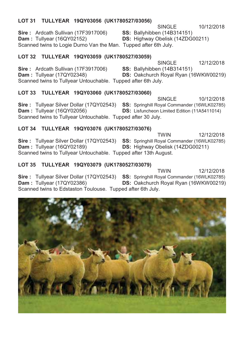## **LOT 31 TULLYEAR 19QY03056 (UK1780527/03056)**

SINGLE 10/12/2018 **Sire :** Ardcath Sullivan (17F3917006) **SS:** Ballyhibben (14B314151)

**Dam :** Tullyear (16QY02152) **DS:** Highway Obelisk (14ZDG00211)

Scanned twins to Logie Durno Van the Man. Tupped after 6th July.

# **LOT 32 TULLYEAR 19QY03059 (UK1780527/03059)**

SINGLE 12/12/2018

**Sire :** Ardcath Sullivan (17F3917006) **SS:** Ballyhibben (14B314151)<br>**Dam :** Tullyear (17QY02348) **DS:** Oakchurch Royal Ryan (1 **DS:** Oakchurch Royal Ryan (16WKW00219) Scanned twins to Tullyear Untouchable. Tupped after 6th July.

# **LOT 33 TULLYEAR 19QY03060 (UK1780527/03060)**

SINGLE 10/12/2018 **Sire :** Tullyear Silver Dollar (17QY02543) **SS:** Springhill Royal Commander (16WLK02785) **DS:** Lisfuncheon Limited Edition (11A5411014) Scanned twins to Tullyear Untouchable. Tupped after 30 July.

# **LOT 34 TULLYEAR 19QY03076 (UK1780527/03076)**

**TWIN** 12/12/2018 **Sire :** Tullyear Silver Dollar (17QY02543) **SS:** Springhill Royal Commander (16WLK02785) **Dam :** Tullyear (16QY02189) **DS:** Highway Obelisk (14ZDG00211) **DS:** Highway Obelisk (14ZDG00211) Scanned twins to Tullyear Untouchable. Tupped after 13th August.

# **LOT 35 TULLYEAR 19QY03079 (UK1780527/03079)**

**TWIN** 12/12/2018 **Sire :** Tullyear Silver Dollar (17QY02543) **SS:** Springhill Royal Commander (16WLK02785) **Dam :** Tullyear (17QY02386) **DS:** Oakchurch Royal Ryan (16WKW00219) Scanned twins to Edstaston Toulouse. Tupped after 6th July.

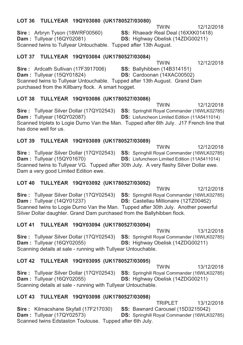## **LOT 36 TULLYEAR 19QY03080 (UK1780527/03080)**

TWIN 12/12/2018

**Sire :** Arbryn Tyson (18WRF00560) **SS:** Rhaeadr Real Deal (16XXK01418) **Dam :** Tullyear (16QY02081) **DS:** Highway Obelisk (14ZDG00211) Scanned twins to Tullyear Untouchable. Tupped after 13th August.

# **LOT 37 TULLYEAR 19QY03084 (UK1780527/03084)**

**TWIN** 12/12/2018

**Sire :** Ardcath Sullivan (17F3917006) **SS:** Ballyhibben (14B314151) **Dam :** Tullyear (15QY01824) **DS:** Cardoonan (14XAC00502) Scanned twins to Tullyear Untouchable. Tupped after 13th August. Grand Dam purchased from the Killbarry flock. A smart hogget.

# **LOT 38 TULLYEAR 19QY03086 (UK1780527/03086)**

**TWIN** 12/12/2018 **Sire :** Tullyear Silver Dollar (17QY02543) **SS:** Springhill Royal Commander (16WLK02785) **Dam:** Tullyear (16QY02087) **DS:** Lisfuncheon Limited Edition (11A5411014) Scanned triplets to Logie Durno Van the Man. Tupped after 6th July. J17 French line that has done well for us.

# **LOT 39 TULLYEAR 19QY03089 (UK1780527/03089)**

**TWIN** 12/12/2018 **Sire :** Tullyear Silver Dollar (17QY02543) **SS:** Springhill Royal Commander (16WLK02785) **Dam :** Tullyear (15QY01670) **DS:** Lisfuncheon Limited Edition (11A5411014) Scanned twins to Tullyear VG. Tupped after 30th July. A very flashy Silver Dollar ewe. Dam a very good Limited Edition ewe.

# **LOT 40 TULLYEAR 19QY03092 (UK1780527/03092)**

**TWIN** 12/12/2018 **Sire :** Tullyear Silver Dollar (17QY02543) **SS:** Springhill Royal Commander (16WLK02785) **Dam :** Tullyear (14QY01237) **DS:** Castellau Millionaire (12TZ00462) Scanned twins to Logie Durno Van the Man. Tupped after 30th July. Another powerful Silver Dollar daughter. Grand Dam purchased from the Ballyhibben flock.

# **LOT 41 TULLYEAR 19QY03094 (UK1780527/03094)**

**TWIN** 13/12/2018 Sire : Tullyear Silver Dollar (17QY02543) SS: Springhill Royal Commander (16WLK02785)<br>**Dam** : Tullyear (16QY02055) **DS: Highway Obelisk (14ZDG00211) DS:** Highway Obelisk (14ZDG00211) Scanning details at sale - running with Tullyear Untouchable.

# **LOT 42 TULLYEAR 19QY03095 (UK1780527/03095)**

**TWIN** 13/12/2018 **Sire :** Tullyear Silver Dollar (17QY02543) **SS:** Springhill Royal Commander (16WLK02785) **Dam :** Tullyear (16QY02055) **DS:** Highway Obelisk (14ZDG00211) Scanning details at sale - running with Tullyear Untouchable.

# **LOT 43 TULLYEAR 19QY03098 (UK1780527/03098)**

TRIPLET 13/12/2018<br>**SS:** Bawnard Carousel (15D3215042) **Sire :** Kilmacshane Skyfall (17F217030) **Dam :** Tullyear (17QY02573) **DS:** Springhill Royal Commander (16WLK02785) Scanned twins Edstaston Toulouse. Tupped after 6th July.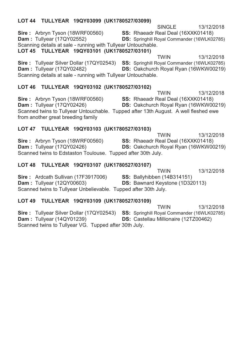# **Sire :** Arbryn Tyson (18WRF00560) **SS:** Rhaeadr Real Deal (16XXK01418) **Dam :** Tullyear (17QY02552) **DS:** Springhill Royal Commander (16WLK02785) Scanning details at sale - running with Tullyear Untouchable. **LOT 45 TULLYEAR 19QY03101 (UK1780527/03101) TWIN** 13/12/2018 **Sire :** Tullyear Silver Dollar (17QY02543) **SS:** Springhill Royal Commander (16WLK02785) **Dam :** Tullyear (17QY02482) **DS:** Oakchurch Royal Ryan (16WKW00219) Scanning details at sale - running with Tullyear Untouchable. **LOT 46 TULLYEAR 19QY03102 (UK1780527/03102) TWIN** 13/12/2018 **Sire :** Arbryn Tyson (18WRF00560) **SS:** Rhaeadr Real Deal (16XXK01418) **Dam :** Tullyear (17QY02426) **DS:** Oakchurch Royal Ryan (16WKW00219) Scanned twins to Tullyear Untouchable. Tupped after 13th August. A well fleshed ewe

SINGLE 13/12/2018

from another great breeding family

# **LOT 47 TULLYEAR 19QY03103 (UK1780527/03103) TWIN** 13/12/2018

**Sire :** Arbryn Tyson (18WRF00560) **SS:** Rhaeadr Real Deal (16XXK01418)<br>**Dam :** Tullyear (17QY02426) **DS:** Oakchurch Royal Ryan (16WKW00 **DS:** Oakchurch Royal Ryan (16WKW00219) Scanned twins to Edstaston Toulouse. Tupped after 30th July.

# **LOT 48 TULLYEAR 19QY03107 (UK1780527/03107)**

**LOT 44 TULLYEAR 19QY03099 (UK1780527/03099)** 

**TWIN** 13/12/2018 **Sire :** Ardcath Sullivan (17F3917006) **SS:** Ballyhibben (14B314151) **Dam :** Tullyear (12QY00603) **DS:** Bawnard Keystone (1D320113) Scanned twins to Tullyear Unbelievable. Tupped after 30th July.

# **LOT 49 TULLYEAR 19QY03109 (UK1780527/03109)**

**TWIN** 13/12/2018 **Sire :** Tullyear Silver Dollar (17QY02543) **SS:** Springhill Royal Commander (16WLK02785) **DS:** Castellau Millionaire (12TZ00462) Scanned twins to Tullyear VG. Tupped after 30th July.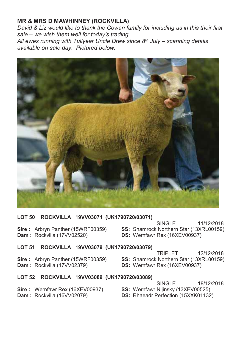# **MR & MRS D MAWHINNEY (ROCKVILLA)**

*David & Liz would like to thank the Cowan family for including us in this their first*  sale – we wish them well for today's trading. All ewes running with Tullyear Uncle Drew since 8<sup>th</sup> July – scanning details *available on sale day. Pictured below.* 



# **LOT 50 ROCKVILLA 19VV03071 (UK1790720/03071)**

**Dam :** Rockvilla (17VV02520) **DS:** Wernfawr Rex (16XEV00937)

SINGLE 11/12/2018<br>Sire: Arbryn Panther (15WRF00359) SS: Shamrock Northern Star (13XRL00159) **SS:** Shamrock Northern Star (13XRL00159)

# **LOT 51 ROCKVILLA 19VV03079 (UK1790720/03079)**

**Dam :** Rockvilla (17VV02379) **DS:** Wernfawr Rex (16XEV00937)

12/12/2018<br>**Sire**: Arbryn Panther (15WRF00359) **SS:** Shamrock Northern Star (13XRL00159) **SS:** Shamrock Northern Star (13XRL00159)

# **LOT 52 ROCKVILLA 19VV03089 (UK1790720/03089)**

- SINGLE 18/12/2018 **Sire :** Wernfawr Rex (16XEV00937) **SS:** Wernfawr Nijinsky (13XEV00525)
- **Dam :** Rockvilla (16VV02079) **DS:** Rhaeadr Perfection (15XXK01132)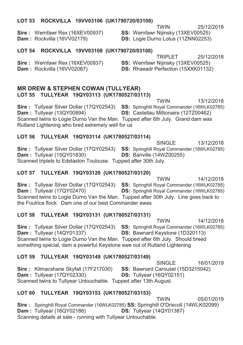## **LOT 53 ROCKVILLA 19VV03106 (UK1790720/03106)**

**Dam :** Rockvilla (16VV02179) **DS:** Logie Durno Lotus (11ZNN02253)

**Sire :** Wernfawr Rex (16XEV00937) **SS:** Wernfawr Nijinsky (13XEV00525)

### **LOT 54 ROCKVILLA 19VV03108 (UK1790720/03108)**

**Sire :** Wernfawr Rex (16XEV00937) **SS:** Wernfawr Nijinsky (13XEV00525) **Dam :** Rockvilla (16VV02087) **DS:** Rhaeadr Perfection (15XXK01132)

TRIPLET 25/12/2018

## **MR DREW & STEPHEN COWAN (TULLYEAR) LOT 55 TULLYEAR 19QY03113 (UK1780527/03113)**

**TWIN** 13/12/2018 **Sire :** Tullyear Silver Dollar (17QY02543) **SS:** Springhill Royal Commander (16WLK02785) **Dam :** Tullyear (13QY00894) **DS:** Castellau Millionaire (12TZ00462) Scanned twins to Logie Durno Van the Man. Tupped after 6th July. Grand dam was Rutland Lightening who bred extremely well for us

## **LOT 56 TULLYEAR 19QY03114 (UK1780527/03114)**

SINGLE 13/12/2018 **Sire :** Tullyear Silver Dollar (17QY02543) **SS:** Springhill Royal Commander (16WLK02785) **Dam :** Tullyear (15QY01830) **DS:** Banville (14WZ00255) Scanned triplets to Edstaston Toulouse. Tupped after 30th July.

# **LOT 57 TULLYEAR 19QY03120 (UK1780527/03120)**

 TWIN 14/12/2018 **Sire :** Tullyear Silver Dollar (17QY02543) **SS:** Springhill Royal Commander (16WLK02785) **Dam :** Tullyear (17QY02470) **DS:** Springhill Royal Commander (16WLK02785) Scanned twins to Logie Durno Van the Man. Tupped after 30th July. Line goes back to the Foulrice flock. Dam one of our best Commander ewes

### **LOT 58 TULLYEAR 19QY03131 (UK1780527/03131)**

**TWIN** 14/12/2018 **Sire :** Tullyear Silver Dollar (17QY02543) **SS:** Springhill Royal Commander (16WLK02785) **Dam :** Tullyear (14QY01337) **DS:** Bawnard Keystone (1D320113) **DS:** Bawnard Keystone (1D320113) Scanned twins to Logie Durno Van the Man. Tupped after 6th July. Should breed something special, dam a powerful Keystone ewe out of Rutland Lightening

### **LOT 59 TULLYEAR 19QY03149 (UK1780527/03149)**

SINGLE 16/01/2019 **Sire :** Kilmacshane Skyfall (17F217030) **SS:** Bawnard Carousel (15D3215042) **Dam :** Tullyear (17QY02330) **DS:** Tullyear (16QY02151) Scanned twins to Tullyear Untouchable. Tupped after 13th August.

# **LOT 60 TULLYEAR 19QY03153 (UK1780527/03153)**

TWIN 05/01/2019 **Sire :** Springhill Royal Commander (16WLK02785) **SS:** Springhill O'Driscoll (14WLK02099) **Dam :** Tullyear (16QY02186) **DS:** Tullyear (14QY01387) Scanning details at sale - running with Tullyear Untouchable.

TWIN 25/12/2018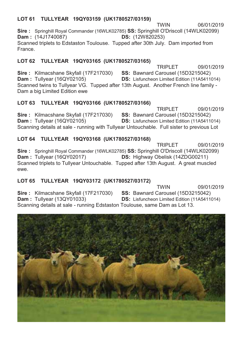# **LOT 61 TULLYEAR 19QY03159 (UK1780527/03159)**

TWIN 06/01/2019 **Sire :** Springhill Royal Commander (16WLK02785) **SS:** Springhill O'Driscoll (14WLK02099) **Dam:** (14J1740087) Scanned triplets to Edstaston Toulouse. Tupped after 30th July. Dam imported from France.

# **LOT 62 TULLYEAR 19QY03165 (UK1780527/03165)**

TRIPLET 09/01/2019 **Sire :** Kilmacshane Skyfall (17F217030) **SS:** Bawnard Carousel (15D3215042) **Dam :** Tullyear (16QY02105) **DS:** Lisfuncheon Limited Edition (11A5411014) Scanned twins to Tullyear VG. Tupped after 13th August. Another French line family - Dam a big Limited Edition ewe

# **LOT 63 TULLYEAR 19QY03166 (UK1780527/03166)**

TRIPLET 09/01/2019 **Sire :** Kilmacshane Skyfall (17F217030) **SS:** Bawnard Carousel (15D3215042) **Dam :** Tullyear (16QY02105) **DS:** Lisfuncheon Limited Edition (11A5411014) Scanning details at sale - running with Tullyear Untouchable. Full sister to previous Lot

# **LOT 64 TULLYEAR 19QY03168 (UK1780527/03168)**

TRIPLET 09/01/2019 **Sire :** Springhill Royal Commander (16WLK02785) **SS:** Springhill O'Driscoll (14WLK02099) **Dam :** Tullyear (16QY02017) **DS:** Highway Obelisk (14ZDG00211) Scanned triplets to Tullyear Untouchable. Tupped after 13th August. A great muscled ewe.

# **LOT 65 TULLYEAR 19QY03172 (UK1780527/03172)**

TWIN 09/01/2019 **Sire :** Kilmacshane Skyfall (17F217030) **SS:** Bawnard Carousel (15D3215042) **DS:** Lisfuncheon Limited Edition (11A5411014)

Scanning details at sale - running Edstaston Toulouse, same Dam as Lot 13.

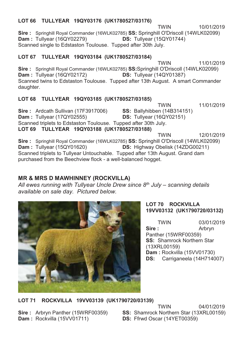# **LOT 66 TULLYEAR 19QY03176 (UK1780527/03176)**

**TWIN** 10/01/2019 **Sire :** Springhill Royal Commander (16WLK02785) **SS:** Springhill O'Driscoll (14WLK02099) **Dam :** Tullyear (16QY02279) **DS:** Tullyear (15QY01744) Scanned single to Edstaston Toulouse. Tupped after 30th July.

# **LOT 67 TULLYEAR 19QY03184 (UK1780527/03184)**

**TWIN** 11/01/2019 **Sire :** Springhill Royal Commander (16WLK02785) **SS:**Springhill O'Driscoll (14WLK02099) **Dam :** Tullyear (16QY02172) **DS:** Tullyear (14QY01387) Scanned twins to Edstaston Toulouse. Tupped after 13th August. A smart Commander daughter.

# **LOT 68 TULLYEAR 19QY03185 (UK1780527/03185)**

**TWIN** 11/01/2019 **Sire :** Ardcath Sullivan (17F3917006) **SS:** Ballyhibben (14B314151) **Dam :** Tullyear (17QY02555) **DS:** Tullyear (16QY02151) Scanned triplets to Edstaston Toulouse. Tupped after 30th July. **LOT 69 TULLYEAR 19QY03188 (UK1780527/03188) TWIN** 12/01/2019 **Sire :** Springhill Royal Commander (16WLK02785) **SS:** Springhill O'Driscoll (14WLK02099) **DS:** Highway Obelisk (14ZDG00211)

Scanned triplets to Tullyear Untouchable. Tupped after 13th August. Grand dam purchased from the Beechview flock - a well-balanced hogget.

# **MR & MRS D MAWHINNEY (ROCKVILLA)**

All ewes running with Tullyear Uncle Drew since 8<sup>th</sup> July – scanning details *available on sale day. Pictured below.* 



# **LOT 70 ROCKVILLA 19VV03132 (UK1790720/03132)**

TWIN 03/01/2019<br>Sire: Arbryn **Sire :** Arbryn Panther (15WRF00359) **SS:** Shamrock Northern Star (13XRL00159) **Dam :** Rockvilla (15VV01730) **DS:** Carriganeela (14H714007)

**LOT 71 ROCKVILLA 19VV03139 (UK1790720/03139)** 

**Dam :** Rockvilla (15VV01711)

**TWIN** 04/01/2019 **Sire :** Arbryn Panther (15WRF00359) **SS:** Shamrock Northern Star (13XRL00159)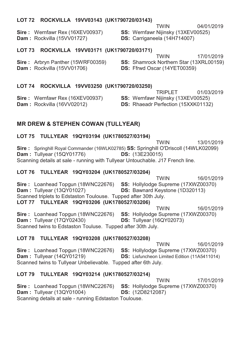## **LOT 72 ROCKVILLA 19VV03143 (UK1790720/03143)**

**Sire :** Wernfawr Rex (16XEV00937) **SS:** Wernfawr Nijinsky (13XEV00525) **Dam :** Rockvilla (15VV01727) **DS:** Carriganeela (14H714007)

**TWIN** 04/01/2019

**LOT 73 ROCKVILLA 19VV03171 (UK1790720/03171)** 

**Sire :** Arbryn Panther (15WRF00359) **SS:** Shamrock Northern Star (13XRL00159)

**TWIN** 17/01/2019

**DS:** Ffrwd Oscar (14YET00359)

# **LOT 74 ROCKVILLA 19VV03250 (UK1790720/03250)**

01/03/2019<br>**Sire**: Wernfawr Rex (16XEV00937) **SS:** Wernfawr Nijinsky (13XEV00525) **SS: Wernfawr Nijinsky (13XEV00525) Dam :** Rockvilla (16VV02012) **DS:** Rhaeadr Perfection (15XXK01132)

# **MR DREW & STEPHEN COWAN (TULLYEAR)**

## **LOT 75 TULLYEAR 19QY03194 (UK1780527/03194)**

 TWIN 13/01/2019 **Sire :** Springhill Royal Commander (16WLK02785) **SS:** Springhill O'Driscoll (14WLK02099) **Dam :** Tullyear (15QY01776) **DS:** (13E230015) Scanning details at sale - running with Tullyear Untouchable. J17 French line.

## **LOT 76 TULLYEAR 19QY03204 (UK1780527/03204)**

TWIN 16/01/2019 **Sire :** Loanhead Topgun (18WNC22676) **SS:** Hollylodge Supreme (17XWZ00370) **Dam :** Tullyear (13QY01027) **DS:** Bawnard Keystone (1D320113) **DS: Bawnard Keystone (1D320113)** Scanned triplets to Edstaston Toulouse. Tupped after 30th July. **LOT 77 TULLYEAR 19QY03206 (UK1780527/03206)**  TWIN 16/01/2019 **Sire :** Loanhead Topgun (18WNC22676) **SS:** Hollylodge Supreme (17XWZ00370)

**Dam :** Tullyear (17QY02430) **DS:** Tullyear (16QY02073) Scanned twins to Edstaston Touluse. Tupped after 30th July.

# **LOT 78 TULLYEAR 19QY03208 (UK1780527/03208)**

 TWIN 16/01/2019 **Sire :** Loanhead Topgun (18WNC22676) **SS:** Hollylodge Supreme (17XWZ00370) **Dam :** Tullyear (14QY01219) **DS:** Lisfuncheon Limited Edition (11A5411014) Scanned twins to Tullyear Unbelievable. Tupped after 6th July.

# **LOT 79 TULLYEAR 19QY03214 (UK1780527/03214)**

**TWIN** 17/01/2019 **Sire :** Loanhead Topgun (18WNC22676) **SS:** Hollylodge Supreme (17XWZ00370) **Dam :** Tullyear (13QY01004) **DS:** (12D8212087) Scanning details at sale - running Edstaston Toulouse.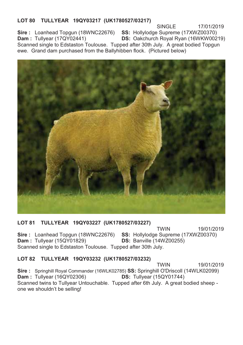# **LOT 80 TULLYEAR 19QY03217 (UK1780527/03217)**

SINGLE 17/01/2019 **Sire :** Loanhead Topgun (18WNC22676) **SS:** Hollylodge Supreme (17XWZ00370) **Dam :** Tullyear (17QY02441) **DS:** Oakchurch Royal Ryan (16WKW00219) Scanned single to Edstaston Toulouse. Tupped after 30th July. A great bodied Topgun ewe. Grand dam purchased from the Ballyhibben flock. (Pictured below)



### **LOT 81 TULLYEAR 19QY03227 (UK1780527/03227)**

TWIN 19/01/2019 **Sire :** Loanhead Topgun (18WNC22676) **SS:** Hollylodge Supreme (17XWZ00370) **Dam :** Tullyear (15QY01829) **DS:** Banville (14WZ00255) Scanned single to Edstaston Toulouse. Tupped after 30th July.

### **LOT 82 TULLYEAR 19QY03232 (UK1780527/03232)**

 TWIN 19/01/2019 **Sire :** Springhill Royal Commander (16WLK02785) **SS:** Springhill O'Driscoll (14WLK02099) **Dam : Tullyear (16QY02306)** Scanned twins to Tullyear Untouchable. Tupped after 6th July. A great bodied sheep one we shouldn't be selling!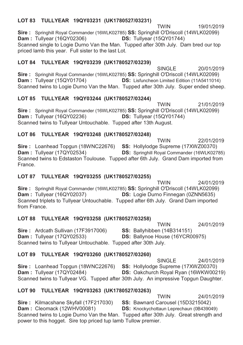# **LOT 83 TULLYEAR 19QY03231 (UK1780527/03231)**

TWIN 19/01/2019 **Sire :** Springhill Royal Commander (16WLK02785) **SS:** Springhill O'Driscoll (14WLK02099) **Dam :** Tullyear (16QY02306) **DS:** Tullyear (15QY01744) Scanned single to Logie Durno Van the Man. Tupped after 30th July. Dam bred our top priced lamb this year. Full sister to the last Lot.

# **LOT 84 TULLYEAR 19QY03239 (UK1780527/03239)**

 SINGLE 20/01/2019 **Sire :** Springhill Royal Commander (16WLK02785) **SS:** Springhill O'Driscoll (14WLK02099) **DS:** Lisfuncheon Limited Edition (11A5411014) Scanned twins to Logie Durno Van the Man. Tupped after 30th July. Super ended sheep.

# **LOT 85 TULLYEAR 19QY03244 (UK1780527/03244)**

**TWIN** 21/01/2019 **Sire :** Springhill Royal Commander (16WLK02785) **SS:** Springhill O'Driscoll (14WLK02099) **Dam :** Tullyear (16QY02236) **DS:** Tullyear (15QY01744) Scanned twins to Tullyear Untouchable. Tupped after 13th August.

# **LOT 86 TULLYEAR 19QY03248 (UK1780527/03248)**

 TWIN 22/01/2019 **Sire :** Loanhead Topgun (18WNC22676) **SS:** Hollylodge Supreme (17XWZ00370) **Dam :** Tullyear (17QY02534) **DS:** Springhill Royal Commander (16WLK02785) Scanned twins to Edstaston Toulouse. Tupped after 6th July. Grand Dam imported from France.

# **LOT 87 TULLYEAR 19QY03255 (UK1780527/03255)**

**TWIN** 24/01/2019 **Sire :** Springhill Royal Commander (16WLK02785) **SS:** Springhill O'Driscoll (14WLK02099) **Dam :** Tullyear (16QY02037) **DS:** Logie Durno Finnegan (0ZNN5635) Scanned triplets to Tullyear Untouchable. Tupped after 6th July. Grand Dam imported from France.

# **LOT 88 TULLYEAR 19QY03258 (UK1780527/03258)**

**TWIN** 24/01/2019 **Sire :** Ardcath Sullivan (17F3917006) **SS:** Ballyhibben (14B314151) **Dam :** Tullyear (17QY02533) **DS:** Ballynoe House (16YCR00975) Scanned twins to Tullyear Untouchable. Tupped after 30th July.

# **LOT 89 TULLYEAR 19QY03260 (UK1780527/03260)**

 SINGLE 24/01/2019 **Sire :** Loanhead Topgun (18WNC22676) **SS:** Hollylodge Supreme (17XWZ00370) **DS:** Oakchurch Royal Ryan (16WKW00219) Scanned twins to Tullyear VG. Tupped after 30th July. An impressive Topgun Daughter.

# **LOT 90 TULLYEAR 19QY03263 (UK1780527/03263)**

TWIN 24/01/2019<br>**SS:** Bawnard Carousel (15D3215042) **Sire :** Kilmacshane Skyfall (17F217030)<br>**Dam :** Cleomack (12WHV00081) **DS:** Knockychottaun Leprechaun (0B439049) Scanned twins to Logie Durno Van the Man. Tupped after 30th July. Great strength and power to this hogget. Sire top priced tup lamb Tullow premier.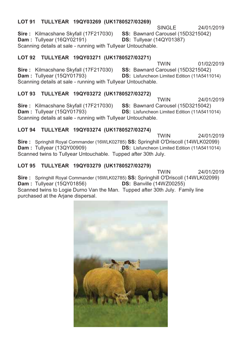## **LOT 91 TULLYEAR 19QY03269 (UK1780527/03269)**

SINGLE 24/01/2019 **Sire :** Kilmacshane Skyfall (17F217030) **SS:** Bawnard Carousel (15D3215042) **Dam :** Tullyear (16QY02191) **DS:** Tullyear (14QY01387) Scanning details at sale - running with Tullyear Untouchable.

# **LOT 92 TULLYEAR 19QY03271 (UK1780527/03271)**

TWIN 01/02/2019 **Sire :** Kilmacshane Skyfall (17F217030) **SS:** Bawnard Carousel (15D3215042) **DS:** Lisfuncheon Limited Edition (11A5411014) Scanning details at sale - running with Tullyear Untouchable.

# **LOT 93 TULLYEAR 19QY03272 (UK1780527/03272)**

**TWIN** 24/01/2019 **Sire :** Kilmacshane Skyfall (17F217030) **SS:** Bawnard Carousel (15D3215042) **Dam :** Tullyear (15QY01793) **DS:** Lisfuncheon Limited Edition (11A5411014) Scanning details at sale - running with Tullyear Untouchable.

# **LOT 94 TULLYEAR 19QY03274 (UK1780527/03274)**

**TWIN** 24/01/2019 **Sire :** Springhill Royal Commander (16WLK02785) **SS:** Springhill O'Driscoll (14WLK02099) **DS:** Lisfuncheon Limited Edition (11A5411014) Scanned twins to Tullyear Untouchable. Tupped after 30th July.

# **LOT 95 TULLYEAR 19QY03279 (UK1780527/03279)**

**TWIN** 24/01/2019 **Sire :** Springhill Royal Commander (16WLK02785) **SS:** Springhill O'Driscoll (14WLK02099) **Dam : Tullyear (15QY01856)** Scanned twins to Logie Durno Van the Man. Tupped after 30th July. Family line purchased at the Arjane dispersal.

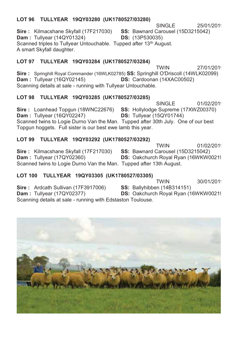# **LOT 96 TULLYEAR 19QY03280 (UK1780527/03280)**

SINGLE 25/01/2019 **Sire :** Kilmacshane Skyfall (17F217030) **SS:** Bawnard Carousel (15D3215042) **Dam :** Tullyear (14QY01324) **DS:** (13P530035) Scanned triples to Tullyear Untouchable. Tupped after 13<sup>th</sup> August. A smart Skyfall daughter.

# **LOT 97 TULLYEAR 19QY03284 (UK1780527/03284)**

**TWIN** 27/01/2019 **Sire :** Springhill Royal Commander (16WLK02785) **SS:** Springhill O'Driscoll (14WLK02099) **DS:** Cardoonan (14XAC00502) Scanning details at sale - running with Tullyear Untouchable.

# **LOT 98 TULLYEAR 19QY03285 (UK1780527/03285)**

SINGLE 01/02/2019 **Sire :** Loanhead Topgun (18WNC22676) **SS:** Hollylodge Supreme (17XWZ00370) **Dam :** Tullyear (16QY02247) **DS:** Tullyear (15QY01744) Scanned twins to Logie Durno Van the Man. Tupped after 30th July. One of our best Topgun hoggets. Full sister is our best ewe lamb this year.

# **LOT 99 TULLYEAR 19QY03292 (UK1780527/03292)**

**TWIN** 01/02/2019 **Sire :** Kilmacshane Skyfall (17F217030) **SS:** Bawnard Carousel (15D3215042) **Dam :** Tullyear (17QY02360) **DS:** Oakchurch Royal Ryan (16WKW0021! Scanned twins to Logie Durno Van the Man. Tupped after 13th August.

# **LOT 100 TULLYEAR 19QY03305 (UK1780527/03305)**

**TWIN** 30/01/2019 **Sire :** Ardcath Sullivan (17F3917006) **SS:** Ballyhibben (14B314151) **Dam :** Tullyear (17QY02377) **DS:** Oakchurch Royal Ryan (16WKW0021! Scanning details at sale - running with Edstaston Toulouse.

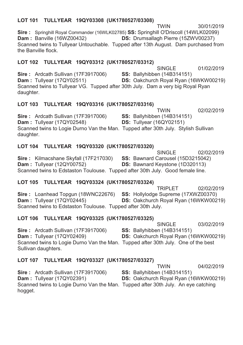# **LOT 101 TULLYEAR 19QY03308 (UK1780527/03308)**

**TWIN** 30/01/2019 **Sire :** Springhill Royal Commander (16WLK02785) **SS:** Springhill O'Driscoll (14WLK02099) **Dam :** Banville (16WZ00432) **DS:** Drumsallagh Pierre (15ZWV00237) Scanned twins to Tullyear Untouchable. Tupped after 13th August. Dam purchased from the Banville flock.

# **LOT 102 TULLYEAR 19QY03312 (UK1780527/03312)**

 SINGLE 01/02/2019 **Sire :** Ardcath Sullivan (17F3917006) **SS:** Ballyhibben (14B314151) **Dam :** Tullyear (17QY02511) **DS:** Oakchurch Royal Ryan (16WKW00219) Scanned twins to Tullyear VG. Tupped after 30th July. Dam a very big Royal Ryan daughter.

# **LOT 103 TULLYEAR 19QY03316 (UK1780527/03316)**

TWIN 02/02/2019 **Sire :** Ardcath Sullivan (17F3917006) **SS:** Ballyhibben (14B314151) **Dam :** Tullyear (17QY02548) **DS:** Tullyear (16QY02151) Scanned twins to Logie Durno Van the Man. Tupped after 30th July. Stylish Sullivan daughter.

# **LOT 104 TULLYEAR 19QY03320 (UK1780527/03320)**

SINGLE 02/02/2019 **Sire :** Kilmacshane Skyfall (17F217030) **SS:** Bawnard Carousel (15D3215042) **Dam :** Tullyear (12QY00752) **DS:** Bawnard Keystone (1D320113) Scanned twins to Edstaston Toulouse. Tupped after 30th July. Good female line.

# **LOT 105 TULLYEAR 19QY03324 (UK1780527/03324)**

TRIPLET 02/02/2019<br>**SS:** Hollylodge Supreme (17XWZ00370) **Sire :** Loanhead Topgun (18WNC22676)<br>**Dam :** Tullyear (17QY02445) **DS:** Oakchurch Royal Ryan (16WKW00219) Scanned twins to Edstaston Toulouse. Tupped after 30th July.

# **LOT 106 TULLYEAR 19QY03325 (UK1780527/03325)**

SINGLE 03/02/2019 **Sire :** Ardcath Sullivan (17F3917006) **SS:** Ballyhibben (14B314151) **DS:** Oakchurch Royal Ryan (16WKW00219) Scanned twins to Logie Durno Van the Man. Tupped after 30th July. One of the best Sullivan daughters.

# **LOT 107 TULLYEAR 19QY03327 (UK1780527/03327)**

**TWIN** 04/02/2019 **Sire :** Ardcath Sullivan (17F3917006) **SS:** Ballyhibben (14B314151) **Dam :** Tullyear (17QY02391) **DS:** Oakchurch Royal Ryan (16WKW00219) Scanned twins to Logie Durno Van the Man. Tupped after 30th July. An eye catching hogget.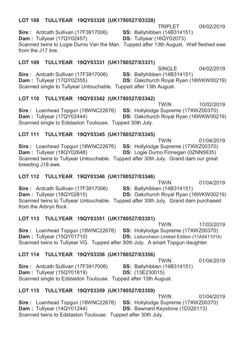# **LOT 108 TULLYEAR 19QY03328 (UK1780527/03328)**

TRIPLET 04/02/2019

**Sire :** Ardcath Sullivan (17F3917006) **SS:** Ballyhibben (14B314151) **Dam :** Tullyear (17QY02457) **DS:** Tullyear (16QY02073) Scanned twins to Logie Durno Van the Man. Tupped after 13th August. Well fleshed ewe from the J17 line.

# **LOT 109 TULLYEAR 19QY03331 (UK1780527/03331)**

 SINGLE 04/02/2019 **Sire :** Ardcath Sullivan (17F3917006) **SS:** Ballyhibben (14B314151)<br>**Dam :** Tullyear (17QY02355) **DS:** Oakchurch Royal Ryan (1 **DS:** Oakchurch Royal Ryan (16WKW00219) Scanned single to Tullyear Untouchable. Tupped after 13th August.

# **LOT 110 TULLYEAR 19QY03342 (UK1780527/03342)**

**TWIN** 10/02/2019 **Sire :** Loanhead Topgun (18WNC22676) **SS:** Hollylodge Supreme (17XWZ00370) **Dam :** Tullyear (17QY02444) **DS:** Oakchurch Royal Ryan (16WKW00219) Scanned single to Edstaston Toulouse. Tupped 30th July.

# **LOT 111 TULLYEAR 19QY03345 (UK1780527/03345)**

**TWIN** 01/04/2019 **Sire :** Loanhead Topgun (18WNC22676) **SS:** Hollylodge Supreme (17XWZ00370) **Dam :** Tullyear (18QY02648) **DS:** Logie Durno Finnegan (0ZNN5635) Scanned twins to Tullyear Untouchable. Tupped after 30th July. Grand dam our great breeding J18 ewe.

# **LOT 112 TULLYEAR 19QY03346 (UK1780527/03346)**

**TWIN** 01/04/2019 **Sire :** Ardcath Sullivan (17F3917006) **SS:** Ballyhibben (14B314151) **Dam :** Tullyear (18QY02815) **DS:** Oakchurch Royal Ryan (16WKW00219) Scanned twins to Tullyear Untouchable. Tupped after 30th July. Grand dam purchased from the Arbryn flock.

# **LOT 113 TULLYEAR 19QY03351 (UK1780527/03351)**

**TWIN** 17/03/2019 **Sire :** Loanhead Topgun (18WNC22676) **SS:** Hollylodge Supreme (17XWZ00370) **Dam :** Tullyear (15QY01710) **DS:** Lisfuncheon Limited Edition (11A5411014) Scanned twins to Tullyear VG. Tupped after 30th July. A smart Topgun daughter.

# **LOT 114 TULLYEAR 19QY03356 (UK1780527/03356)**

 TWIN 01/04/2019 **Sire :** Ardcath Sullivan (17F3917006) **SS:** Ballyhibben (14B314151) **Dam :** Tullyear (15QY01819) **DS:** (13E230015) Scanned single to Edstaston Toulouse. Tupped after 13th August.

# **LOT 115 TULLYEAR 19QY03359 (UK1780527/03359)**

**TWIN** 01/04/2019 **Sire :** Loanhead Topgun (18WNC22676) **SS:** Hollylodge Supreme (17XWZ00370) **Dam :** Tullyear (14QY01244) **DS:** Bawnard Keystone (1D320113) **DS:** Bawnard Keystone (1D320113) Scanned twins to Edstaston Toulouse. Tupped after 30th July.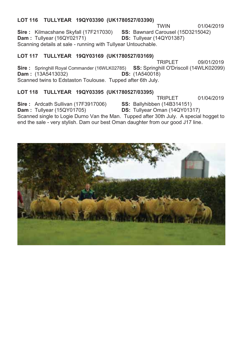## **LOT 116 TULLYEAR 19QY03390 (UK1780527/03390)**

**TWIN** 01/04/2019 **Sire :** Kilmacshane Skyfall (17F217030) **SS:** Bawnard Carousel (15D3215042) **Dam :** Tullyear (16QY02171) **DS:** Tullyear (14QY01387) Scanning details at sale - running with Tullyear Untouchable.

# **LOT 117 TULLYEAR 19QY03169 (UK1780527/03169)**

TRIPLET 09/01/2019 **Sire :** Springhill Royal Commander (16WLK02785) **SS:** Springhill O'Driscoll (14WLK02099) **Dam :** (13A5413032) **DS:** (1A540018) Scanned twins to Edstaston Toulouse. Tupped after 6th July.

### **LOT 118 TULLYEAR 19QY03395 (UK1780527/03395)**

**TRIPLET** 01/04/2019

**Sire :** Ardcath Sullivan (17F3917006) **SS:** Ballyhibben (14B314151)

**Dam :** Tullyear (15QY01705) **DS:** Tullyear Oman (14QY01317) Scanned single to Logie Durno Van the Man. Tupped after 30th July. A special hogget to

end the sale - very stylish. Dam our best Oman daughter from our good J17 line.

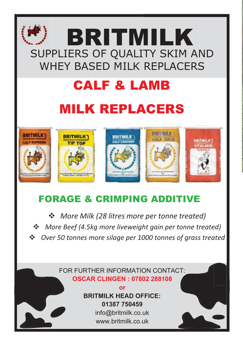# WHEY BASED MILK REPLACERS SUPPLIERS OF QUALITY SKIM AND **BRITMILK**

# CALF & LA AMB

# **MILK REPLACERS**



# FORAGE & CRIMPING ADDITIVE

 $\mathbf{r}$ 

*More Milk (28 litres more per tonne treated)* **<sup>❖</sup>** More Beef (4.5kg more liveweight gain per tonne treated) **<sup>❖</sup>** Over 50 tonnes more silage per 1000 tonnes of grass treated -

# FOR FURTHER INFORMATION CONTACT:  **OSCAR CLINGEN : 07802 288108**

 **BRITMILK HEAD OFFICE:** www.britmilk.co.uk info@britmilk.co.uk **01387 750459 or**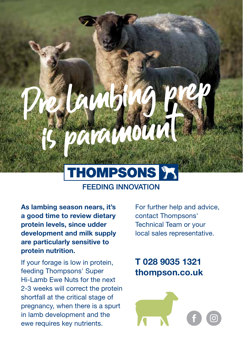

**FEEDING INNOVATION** 

**As lambing season nears, it's a good time to review dietary protein levels, since udder development and milk supply are particularly sensitive to protein nutrition.**

If your forage is low in protein, feeding Thompsons' Super Hi-Lamb Ewe Nuts for the next 2-3 weeks will correct the protein shortfall at the critical stage of pregnancy, when there is a spurt in lamb development and the ewe requires key nutrients.

For further help and advice, contact Thompsons' Technical Team or your local sales representative.

# **T 028 9035 1321 thompson.co.uk**